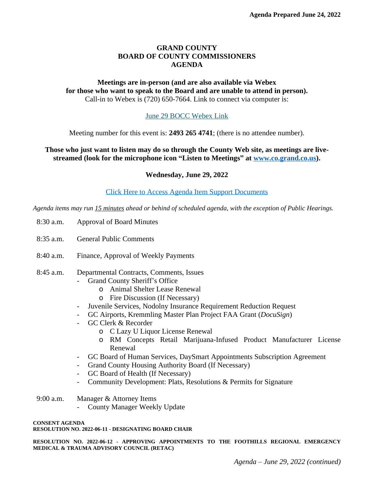## **GRAND COUNTY BOARD OF COUNTY COMMISSIONERS AGENDA**

## **Meetings are in-person (and are also available via Webex for those who want to speak to the Board and are unable to attend in person).** Call-in to Webex is (720) 650-7664. Link to connect via computer is:

## [June 29 BOCC Webex Link](https://grandcounty.webex.com/grandcounty/j.php?MTID=m5c83e8e18090852295ae3a463265ee0f)

[Meeting number for this event is:](https://grandcounty.webex.com/grandcounty/j.php?MTID=m5c83e8e18090852295ae3a463265ee0f) **[2493 265 4741](https://grandcounty.webex.com/grandcounty/j.php?MTID=m5c83e8e18090852295ae3a463265ee0f)**[; \(there is no attendee number\).](https://grandcounty.webex.com/grandcounty/j.php?MTID=m5c83e8e18090852295ae3a463265ee0f)

**[Those who just want to listen may do so through the County Web site, as meetings are live](https://grandcounty.webex.com/grandcounty/j.php?MTID=m5c83e8e18090852295ae3a463265ee0f)[streamed \(look for the microphone icon](https://grandcounty.webex.com/grandcounty/j.php?MTID=m5c83e8e18090852295ae3a463265ee0f) "Listen to Meetings" [at](https://grandcounty.webex.com/grandcounty/j.php?MTID=m5c83e8e18090852295ae3a463265ee0f) [www.co.grand.co.us\)](http://www.co.grand.co.us).**

**Wednesday, June 29, 2022**

[Click Here to Access Agenda Item Support Documents](https://grandco.box.com/v/boccsupporteddocuments)

*[Agenda items may run 15 minutes ahead or behind of scheduled agenda, with the exception of Public Hearings.](https://grandco.box.com/v/boccsupporteddocuments)*

- [8:30 a.m.](https://grandco.box.com/v/boccsupporteddocuments) [Approval of Board Minutes](https://grandco.box.com/v/boccsupporteddocuments)
- [8:35 a.m.](https://grandco.box.com/v/boccsupporteddocuments) [General Public Comments](https://grandco.box.com/v/boccsupporteddocuments)
- [8:40 a.m.](https://grandco.box.com/v/boccsupporteddocuments) [Finance, Approval of Weekly Payments](https://grandco.box.com/v/boccsupporteddocuments)
- [8:45](https://grandco.box.com/v/boccsupporteddocuments) [a.m.](https://grandco.box.com/v/boccsupporteddocuments) [Departmental Contracts, Comments, Issues](https://grandco.box.com/v/boccsupporteddocuments)
	- [Grand County Sheriff](https://grandco.box.com/v/boccsupporteddocuments)'s Office
		- o [Animal Shelter Lease Renewal](https://grandco.box.com/v/boccsupporteddocuments)
		- o [Fire Discussion \(If Necessary\)](https://grandco.box.com/v/boccsupporteddocuments)
	- [Juvenile Services, Nodolny Insurance Requirement Reduction Request](https://grandco.box.com/v/boccsupporteddocuments)
	- [GC Airports, Kremmling Master Plan Project FAA Grant \(](https://grandco.box.com/v/boccsupporteddocuments)*[DocuSign](https://grandco.box.com/v/boccsupporteddocuments)*[\)](https://grandco.box.com/v/boccsupporteddocuments)
	- [GC Clerk & Recorder](https://grandco.box.com/v/boccsupporteddocuments)
		- o [C Lazy U Liquor License Renewal](https://grandco.box.com/v/boccsupporteddocuments)
		- o RM Concepts Retail [Marijuana-Infused](https://grandco.box.com/v/boccsupporteddocuments) Product Manufacturer License [Renewal](https://grandco.box.com/v/boccsupporteddocuments)
	- [GC Board of Human Services, DaySmart Appointments Subscription Agreement](https://grandco.box.com/v/boccsupporteddocuments)
	- [Grand County Housing Authority Board \(If Necessary\)](https://grandco.box.com/v/boccsupporteddocuments)
	- [GC Board of Health \(If Necessary\)](https://grandco.box.com/v/boccsupporteddocuments)
	- [Community Development: Plats, Resolutions & Permits for Signature](https://grandco.box.com/v/boccsupporteddocuments)
- [9:00 a.m.](https://grandco.box.com/v/boccsupporteddocuments) [Manager & Attorney Items](https://grandco.box.com/v/boccsupporteddocuments)
	- [County Manager Weekly Update](https://grandco.box.com/v/boccsupporteddocuments)

**[CONSENT AGENDA](https://grandco.box.com/v/boccsupporteddocuments) [RESOLUTION NO. 2022-06-11 - DESIGNATING BOARD CHAIR](https://grandco.box.com/v/boccsupporteddocuments)**

**[RESOLUTION](https://grandco.box.com/v/boccsupporteddocuments) NO. 2022-06-12 [-](https://grandco.box.com/v/boccsupporteddocuments) APPROVING [APPOINTMENTS](https://grandco.box.com/v/boccsupporteddocuments) TO THE FOOTHILLS REGIONAL EMERGENCY [MEDICAL & TRAUMA ADVISORY COUNCIL \(RETAC\)](https://grandco.box.com/v/boccsupporteddocuments)**